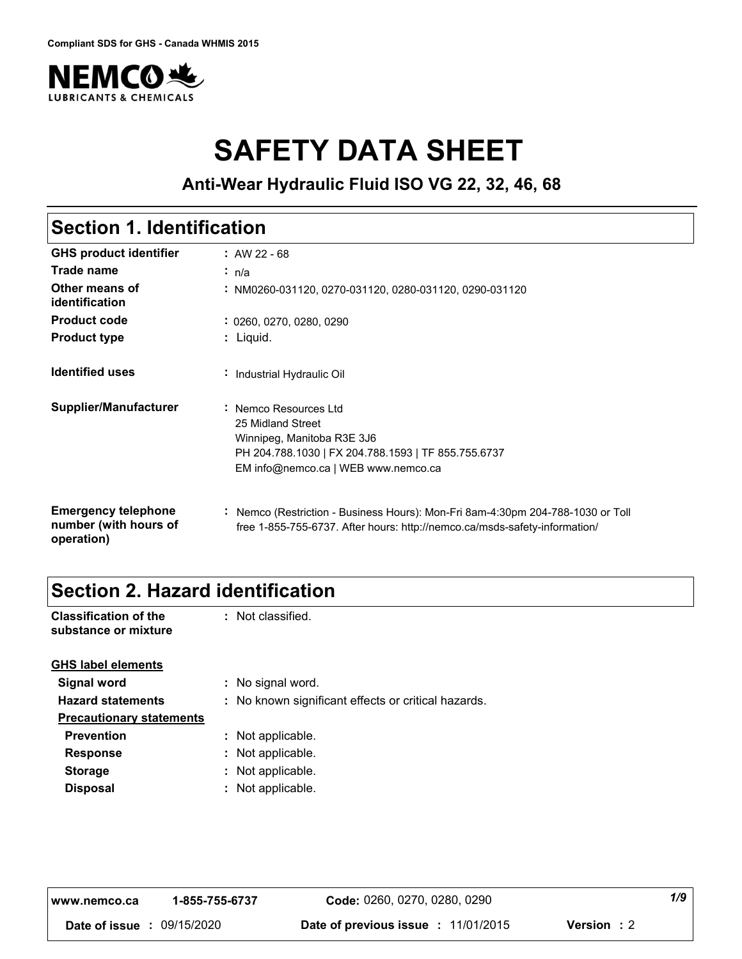

# **SAFETY DATA SHEET**

**Anti-Wear Hydraulic Fluid ISO VG 22, 32, 46, 68**

# **Section 1. Identification**

| <b>GHS product identifier</b>                                     | $: AW 22 - 68$                                                                                                                                                         |
|-------------------------------------------------------------------|------------------------------------------------------------------------------------------------------------------------------------------------------------------------|
| Trade name                                                        | ∴ n/a                                                                                                                                                                  |
| Other means of<br>identification                                  | : NM0260-031120, 0270-031120, 0280-031120, 0290-031120                                                                                                                 |
| <b>Product code</b>                                               | : 0260, 0270, 0280, 0290                                                                                                                                               |
| <b>Product type</b>                                               | : Liquid.                                                                                                                                                              |
| <b>Identified uses</b>                                            | Industrial Hydraulic Oil                                                                                                                                               |
| Supplier/Manufacturer                                             | : Nemco Resources Ltd<br>25 Midland Street<br>Winnipeg, Manitoba R3E 3J6<br>PH 204.788.1030   FX 204.788.1593   TF 855.755.6737<br>EM info@nemco.ca   WEB www.nemco.ca |
| <b>Emergency telephone</b><br>number (with hours of<br>operation) | : Nemco (Restriction - Business Hours): Mon-Fri 8am-4:30pm 204-788-1030 or Toll<br>free 1-855-755-6737. After hours: http://nemco.ca/msds-safety-information/          |

### **Section 2. Hazard identification**

| <b>Classification of the</b> | : Not classified. |
|------------------------------|-------------------|
| substance or mixture         |                   |
|                              |                   |

| : No signal word.                                   |
|-----------------------------------------------------|
| : No known significant effects or critical hazards. |
|                                                     |
| : Not applicable.                                   |
| : Not applicable.                                   |
| : Not applicable.                                   |
| : Not applicable.                                   |
|                                                     |

| l www.nemco.ca                    | 1-855-755-6737 | <b>Code:</b> 0260, 0270, 0280, 0290        |                    | 1/9 |
|-----------------------------------|----------------|--------------------------------------------|--------------------|-----|
| <b>Date of issue : 09/15/2020</b> |                | <b>Date of previous issue : 11/01/2015</b> | <b>Version</b> : 2 |     |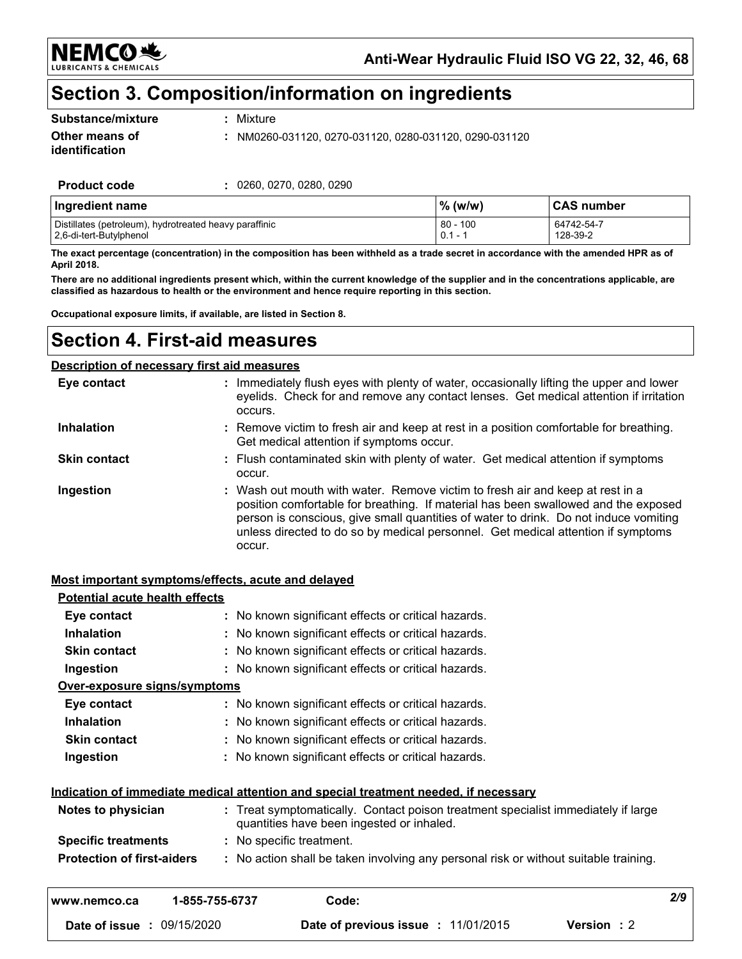NEMC056 **ANTS & CHEMICALS** 

Anti-Wear Hydraulic Fluid ISO VG 22, 32, 46, 68

## Section 3. Composition/information on ingredients

| Substance/mixture |  |
|-------------------|--|
| Other means of    |  |

: Mixture

: NM0260-031120, 0270-031120, 0280-031120, 0290-031120

identification **Product code** 

: 0260, 0270, 0280, 0290

| Ingredient name                                        | $%$ (w/w) | ∣CAS number |
|--------------------------------------------------------|-----------|-------------|
| Distillates (petroleum), hydrotreated heavy paraffinic | 80 - 100  | 64742-54-7  |
| 2,6-di-tert-Butylphenol                                | $0.1 -$   | 128-39-2    |

The exact percentage (concentration) in the composition has been withheld as a trade secret in accordance with the amended HPR as of April 2018.

There are no additional ingredients present which, within the current knowledge of the supplier and in the concentrations applicable, are classified as hazardous to health or the environment and hence require reporting in this section.

Occupational exposure limits, if available, are listed in Section 8.

### **Section 4. First-aid measures**

#### **Description of necessary first aid measures**

| Eye contact         | : Immediately flush eyes with plenty of water, occasionally lifting the upper and lower<br>eyelids. Check for and remove any contact lenses. Get medical attention if irritation<br>occurs.                                                                                                                                                               |
|---------------------|-----------------------------------------------------------------------------------------------------------------------------------------------------------------------------------------------------------------------------------------------------------------------------------------------------------------------------------------------------------|
| <b>Inhalation</b>   | : Remove victim to fresh air and keep at rest in a position comfortable for breathing.<br>Get medical attention if symptoms occur.                                                                                                                                                                                                                        |
| <b>Skin contact</b> | : Flush contaminated skin with plenty of water. Get medical attention if symptoms<br>occur.                                                                                                                                                                                                                                                               |
| Ingestion           | : Wash out mouth with water. Remove victim to fresh air and keep at rest in a<br>position comfortable for breathing. If material has been swallowed and the exposed<br>person is conscious, give small quantities of water to drink. Do not induce vomiting<br>unless directed to do so by medical personnel. Get medical attention if symptoms<br>occur. |

#### Most important symptoms/effects, acute and delayed

| Date of issue : 09/15/2020            |                          | Date of previous issue : 11/01/2015                                                                                          | <b>Version</b> : 2 |     |
|---------------------------------------|--------------------------|------------------------------------------------------------------------------------------------------------------------------|--------------------|-----|
| www.nemco.ca                          | 1-855-755-6737           | Code:                                                                                                                        |                    | 2/9 |
| <b>Protection of first-aiders</b>     |                          | : No action shall be taken involving any personal risk or without suitable training.                                         |                    |     |
| <b>Specific treatments</b>            | : No specific treatment. |                                                                                                                              |                    |     |
| Notes to physician                    |                          | Treat symptomatically. Contact poison treatment specialist immediately if large<br>quantities have been ingested or inhaled. |                    |     |
|                                       |                          | Indication of immediate medical attention and special treatment needed, if necessary                                         |                    |     |
| Ingestion                             |                          | : No known significant effects or critical hazards.                                                                          |                    |     |
| <b>Skin contact</b>                   |                          | No known significant effects or critical hazards.                                                                            |                    |     |
| <b>Inhalation</b>                     |                          | No known significant effects or critical hazards.                                                                            |                    |     |
| Eye contact                           |                          | : No known significant effects or critical hazards.                                                                          |                    |     |
| Over-exposure signs/symptoms          |                          |                                                                                                                              |                    |     |
| Ingestion                             |                          | : No known significant effects or critical hazards.                                                                          |                    |     |
| <b>Skin contact</b>                   |                          | No known significant effects or critical hazards.                                                                            |                    |     |
| <b>Inhalation</b>                     |                          | No known significant effects or critical hazards.                                                                            |                    |     |
| Eye contact                           |                          | : No known significant effects or critical hazards.                                                                          |                    |     |
| <b>Potential acute health effects</b> |                          |                                                                                                                              |                    |     |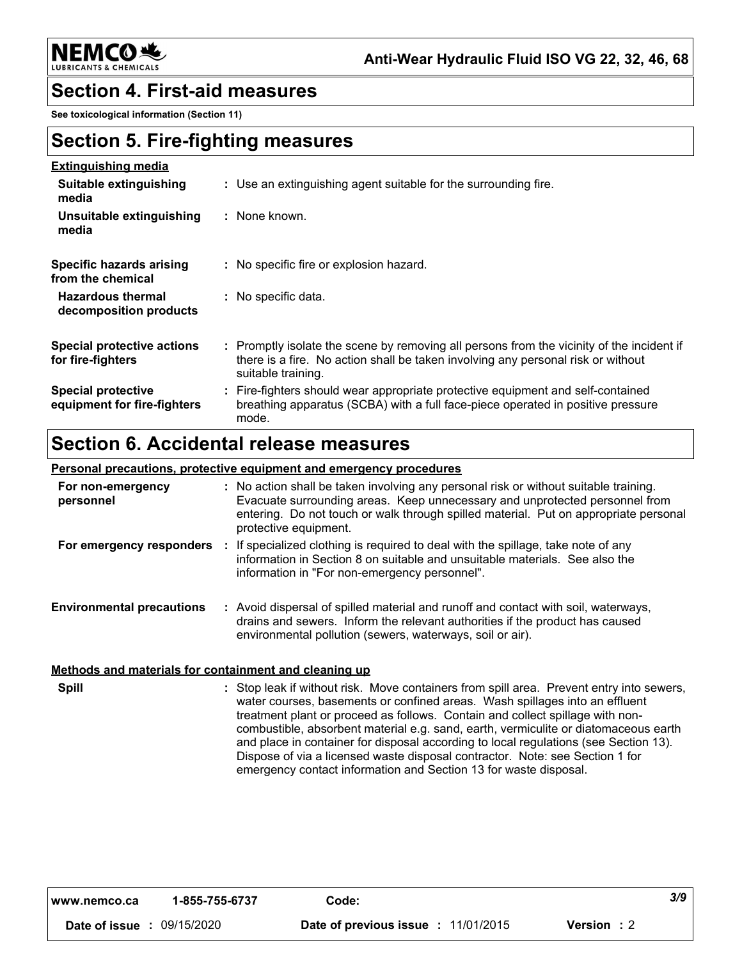**NEMCO头** 

### **Section 4. First-aid measures**

See toxicological information (Section 11)

### **Section 5. Fire-fighting measures**

| <b>Extinguishing media</b>                               |                                                                                                                                                                                                     |
|----------------------------------------------------------|-----------------------------------------------------------------------------------------------------------------------------------------------------------------------------------------------------|
| Suitable extinguishing<br>media                          | : Use an extinguishing agent suitable for the surrounding fire.                                                                                                                                     |
| Unsuitable extinguishing<br>media                        | : None known.                                                                                                                                                                                       |
| <b>Specific hazards arising</b><br>from the chemical     | : No specific fire or explosion hazard.                                                                                                                                                             |
| <b>Hazardous thermal</b><br>decomposition products       | : No specific data.                                                                                                                                                                                 |
| Special protective actions<br>for fire-fighters          | : Promptly isolate the scene by removing all persons from the vicinity of the incident if<br>there is a fire. No action shall be taken involving any personal risk or without<br>suitable training. |
| <b>Special protective</b><br>equipment for fire-fighters | : Fire-fighters should wear appropriate protective equipment and self-contained<br>breathing apparatus (SCBA) with a full face-piece operated in positive pressure<br>mode.                         |

# Section 6. Accidental release measures

#### Personal precautions, protective equipment and emergency procedures

| For non-emergency<br>personnel   | : No action shall be taken involving any personal risk or without suitable training.<br>Evacuate surrounding areas. Keep unnecessary and unprotected personnel from<br>entering. Do not touch or walk through spilled material. Put on appropriate personal<br>protective equipment. |
|----------------------------------|--------------------------------------------------------------------------------------------------------------------------------------------------------------------------------------------------------------------------------------------------------------------------------------|
| For emergency responders         | If specialized clothing is required to deal with the spillage, take note of any<br>information in Section 8 on suitable and unsuitable materials. See also the<br>information in "For non-emergency personnel".                                                                      |
| <b>Environmental precautions</b> | Avoid dispersal of spilled material and runoff and contact with soil, waterways,<br>drains and sewers. Inform the relevant authorities if the product has caused<br>environmental pollution (sewers, waterways, soil or air).                                                        |

#### Methods and materials for containment and cleaning up

**Spill** : Stop leak if without risk. Move containers from spill area. Prevent entry into sewers, water courses, basements or confined areas. Wash spillages into an effluent treatment plant or proceed as follows. Contain and collect spillage with noncombustible, absorbent material e.g. sand, earth, vermiculite or diatomaceous earth and place in container for disposal according to local regulations (see Section 13). Dispose of via a licensed waste disposal contractor. Note: see Section 1 for emergency contact information and Section 13 for waste disposal.

| www.nemco.ca                      | 1-855-755-6737 | Code:                               |                    | 3/9 |
|-----------------------------------|----------------|-------------------------------------|--------------------|-----|
| <b>Date of issue : 09/15/2020</b> |                | Date of previous issue : 11/01/2015 | <b>Version</b> : 2 |     |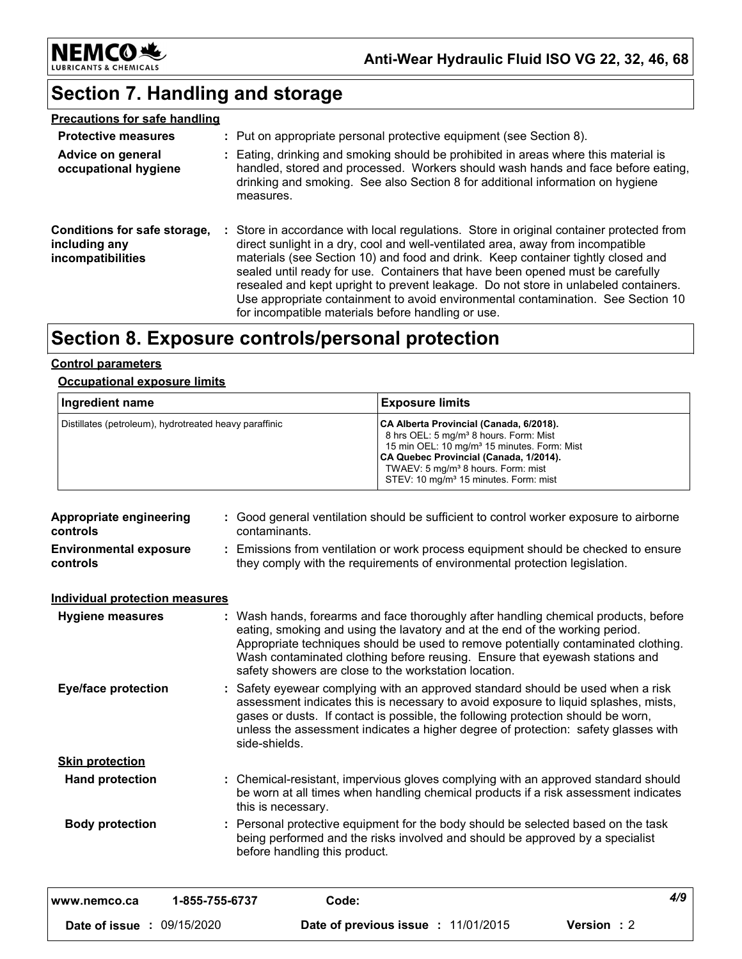

# **Section 7. Handling and storage**

| <b>Precautions for safe handling</b>                               |                                                                                                                                                                                                                                                                                                                                                                                                                                                                                                                                                                                    |
|--------------------------------------------------------------------|------------------------------------------------------------------------------------------------------------------------------------------------------------------------------------------------------------------------------------------------------------------------------------------------------------------------------------------------------------------------------------------------------------------------------------------------------------------------------------------------------------------------------------------------------------------------------------|
| <b>Protective measures</b>                                         | : Put on appropriate personal protective equipment (see Section 8).                                                                                                                                                                                                                                                                                                                                                                                                                                                                                                                |
| Advice on general<br>occupational hygiene                          | : Eating, drinking and smoking should be prohibited in areas where this material is<br>handled, stored and processed. Workers should wash hands and face before eating,<br>drinking and smoking. See also Section 8 for additional information on hygiene<br>measures.                                                                                                                                                                                                                                                                                                             |
| Conditions for safe storage,<br>including any<br>incompatibilities | : Store in accordance with local regulations. Store in original container protected from<br>direct sunlight in a dry, cool and well-ventilated area, away from incompatible<br>materials (see Section 10) and food and drink. Keep container tightly closed and<br>sealed until ready for use. Containers that have been opened must be carefully<br>resealed and kept upright to prevent leakage. Do not store in unlabeled containers.<br>Use appropriate containment to avoid environmental contamination. See Section 10<br>for incompatible materials before handling or use. |

## Section 8. Exposure controls/personal protection

#### **Control parameters**

#### **Occupational exposure limits**

| <b>Ingredient name</b>                                 | <b>Exposure limits</b>                                                                                                                                                                                                                                                                                    |
|--------------------------------------------------------|-----------------------------------------------------------------------------------------------------------------------------------------------------------------------------------------------------------------------------------------------------------------------------------------------------------|
| Distillates (petroleum), hydrotreated heavy paraffinic | CA Alberta Provincial (Canada, 6/2018).<br>8 hrs OEL: 5 mg/m <sup>3</sup> 8 hours. Form: Mist<br>15 min OEL: 10 mg/m <sup>3</sup> 15 minutes. Form: Mist<br>CA Quebec Provincial (Canada, 1/2014).<br>TWAEV: 5 mg/m <sup>3</sup> 8 hours. Form: mist<br>STEV: 10 mg/m <sup>3</sup> 15 minutes. Form: mist |

| <b>Appropriate engineering</b><br>controls |                | : Good general ventilation should be sufficient to control worker exposure to airborne<br>contaminants.                                                                                                                                                                                                                                                                                           |     |
|--------------------------------------------|----------------|---------------------------------------------------------------------------------------------------------------------------------------------------------------------------------------------------------------------------------------------------------------------------------------------------------------------------------------------------------------------------------------------------|-----|
| <b>Environmental exposure</b><br>controls  |                | : Emissions from ventilation or work process equipment should be checked to ensure<br>they comply with the requirements of environmental protection legislation.                                                                                                                                                                                                                                  |     |
| <b>Individual protection measures</b>      |                |                                                                                                                                                                                                                                                                                                                                                                                                   |     |
| <b>Hygiene measures</b>                    |                | : Wash hands, forearms and face thoroughly after handling chemical products, before<br>eating, smoking and using the lavatory and at the end of the working period.<br>Appropriate techniques should be used to remove potentially contaminated clothing.<br>Wash contaminated clothing before reusing. Ensure that eyewash stations and<br>safety showers are close to the workstation location. |     |
| <b>Eye/face protection</b>                 |                | : Safety eyewear complying with an approved standard should be used when a risk<br>assessment indicates this is necessary to avoid exposure to liquid splashes, mists,<br>gases or dusts. If contact is possible, the following protection should be worn,<br>unless the assessment indicates a higher degree of protection: safety glasses with<br>side-shields.                                 |     |
| <b>Skin protection</b>                     |                |                                                                                                                                                                                                                                                                                                                                                                                                   |     |
| <b>Hand protection</b>                     |                | : Chemical-resistant, impervious gloves complying with an approved standard should<br>be worn at all times when handling chemical products if a risk assessment indicates<br>this is necessary.                                                                                                                                                                                                   |     |
| <b>Body protection</b>                     |                | : Personal protective equipment for the body should be selected based on the task<br>being performed and the risks involved and should be approved by a specialist<br>before handling this product.                                                                                                                                                                                               |     |
| www.nemco.ca                               | 1-855-755-6737 | Code:                                                                                                                                                                                                                                                                                                                                                                                             | 4/9 |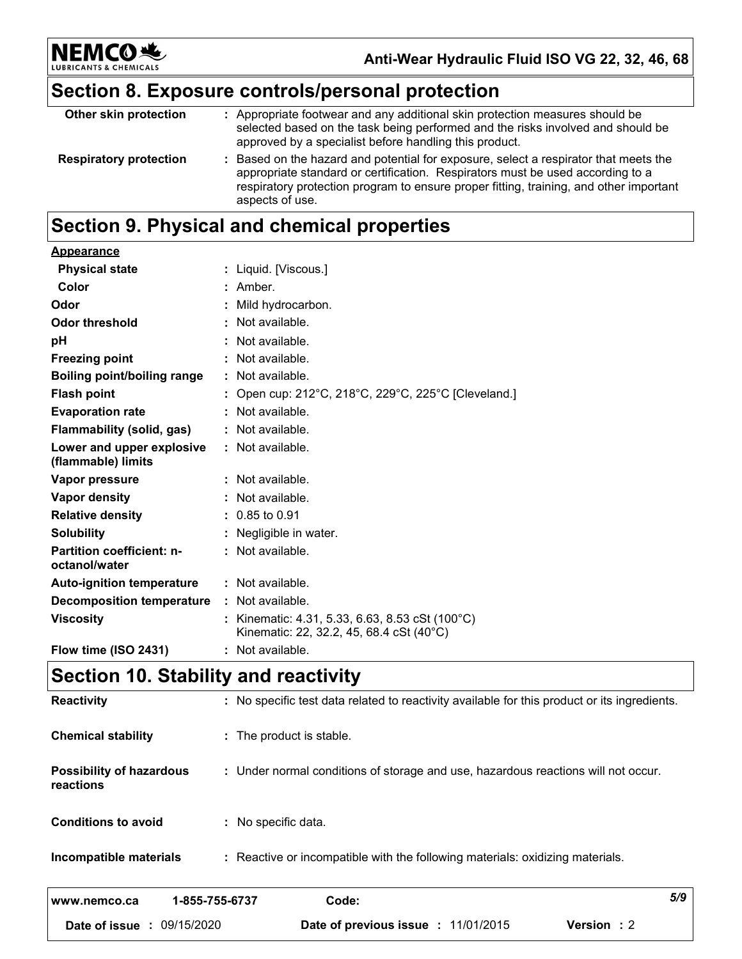

Anti-Wear Hydraulic Fluid ISO VG 22, 32, 46, 68

# Section 8. Exposure controls/personal protection

| Other skin protection         | : Appropriate footwear and any additional skin protection measures should be<br>selected based on the task being performed and the risks involved and should be<br>approved by a specialist before handling this product.                                                           |
|-------------------------------|-------------------------------------------------------------------------------------------------------------------------------------------------------------------------------------------------------------------------------------------------------------------------------------|
| <b>Respiratory protection</b> | : Based on the hazard and potential for exposure, select a respirator that meets the<br>appropriate standard or certification. Respirators must be used according to a<br>respiratory protection program to ensure proper fitting, training, and other important<br>aspects of use. |

# Section 9. Physical and chemical properties

| Appearance                                      |   |                                                                                           |
|-------------------------------------------------|---|-------------------------------------------------------------------------------------------|
| <b>Physical state</b>                           |   | : Liquid. [Viscous.]                                                                      |
| Color                                           |   | Amber.                                                                                    |
| Odor                                            |   | Mild hydrocarbon.                                                                         |
| <b>Odor threshold</b>                           | ÷ | Not available.                                                                            |
| рH                                              |   | Not available.                                                                            |
| <b>Freezing point</b>                           |   | Not available.                                                                            |
| Boiling point/boiling range                     |   | Not available.                                                                            |
| <b>Flash point</b>                              |   | Open cup: 212°C, 218°C, 229°C, 225°C [Cleveland.]                                         |
| <b>Evaporation rate</b>                         |   | Not available.                                                                            |
| Flammability (solid, gas)                       |   | Not available.                                                                            |
| Lower and upper explosive<br>(flammable) limits |   | : Not available.                                                                          |
| Vapor pressure                                  |   | : Not available.                                                                          |
| Vapor density                                   |   | Not available.                                                                            |
| <b>Relative density</b>                         |   | $0.85$ to $0.91$                                                                          |
| <b>Solubility</b>                               |   | Negligible in water.                                                                      |
| Partition coefficient: n-<br>octanol/water      |   | : Not available.                                                                          |
| <b>Auto-ignition temperature</b>                |   | : Not available.                                                                          |
| <b>Decomposition temperature</b>                |   | : Not available.                                                                          |
| <b>Viscosity</b>                                |   | Kinematic: 4.31, 5.33, 6.63, 8.53 cSt (100°C)<br>Kinematic: 22, 32.2, 45, 68.4 cSt (40°C) |
| Flow time (ISO 2431)                            |   | Not available.                                                                            |

# Section 10. Stability and reactivity

| <b>Reactivity</b>                            | : No specific test data related to reactivity available for this product or its ingredients. |     |
|----------------------------------------------|----------------------------------------------------------------------------------------------|-----|
| <b>Chemical stability</b>                    | : The product is stable.                                                                     |     |
| <b>Possibility of hazardous</b><br>reactions | : Under normal conditions of storage and use, hazardous reactions will not occur.            |     |
| <b>Conditions to avoid</b>                   | : No specific data.                                                                          |     |
| Incompatible materials                       | : Reactive or incompatible with the following materials: oxidizing materials.                |     |
| 1-855-755-6737<br>www.nemco.ca               | Code:                                                                                        | 5/9 |
| <b>Date of issue : 09/15/2020</b>            | Date of previous issue : 11/01/2015<br><b>Version</b> : 2                                    |     |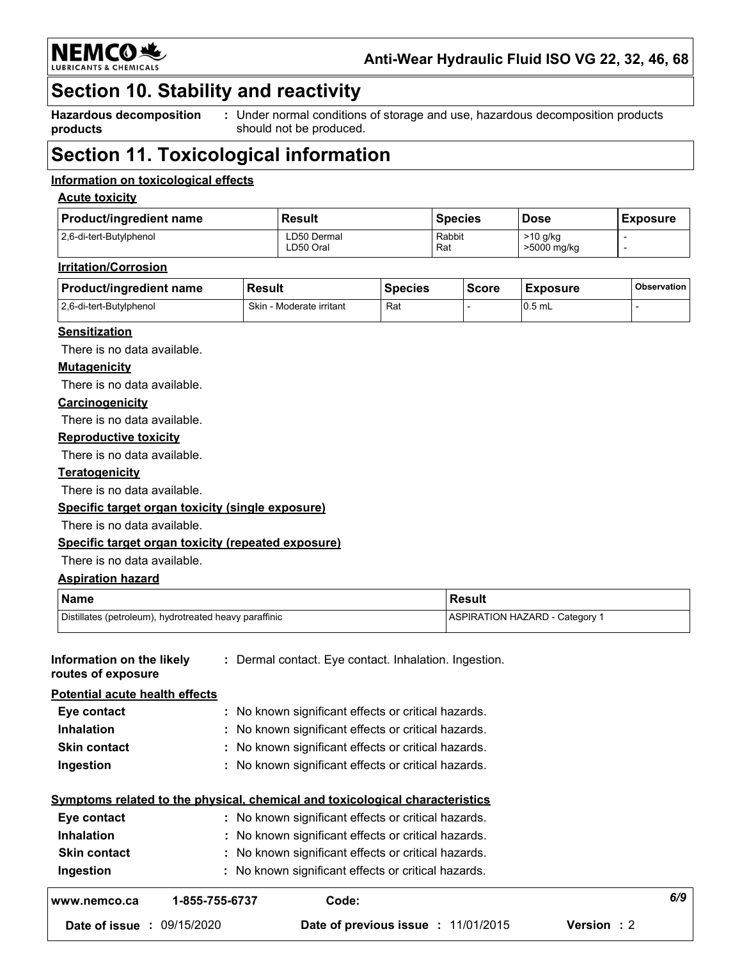

Anti-Wear Hydraulic Fluid ISO VG 22, 32, 46, 68

### Section 10. Stability and reactivity

**Hazardous decomposition** products

Under normal conditions of storage and use, hazardous decomposition products  $\overline{\mathbb{C}}$ should not be produced.

## **Section 11. Toxicological information**

#### Information on toxicological effects

#### **Acute toxicity**

| <b>Product/ingredient name</b> | Result      | Species | <b>Dose</b> | <b>Exposure</b> |
|--------------------------------|-------------|---------|-------------|-----------------|
| 2.6-di-tert-Butylphenol        | ∟D50 Dermal | Rabbit  | $>10$ g/kg  |                 |
|                                | ∟D50 Oral   | Rat     | >5000 mg/kg |                 |

#### **Irritation/Corrosion**

| <b>Product/ingredient name</b> | <b>Result</b>            | <b>Species</b> | <b>Score</b> | <b>Exposure</b> | Observation |
|--------------------------------|--------------------------|----------------|--------------|-----------------|-------------|
| 12.6-di-tert-Butylphenol       | Skin - Moderate irritant | Rat            |              | $10.5$ mL       |             |

#### **Sensitization**

There is no data available.

#### **Mutagenicity**

There is no data available.

#### Carcinogenicity

There is no data available.

#### **Reproductive toxicity**

There is no data available.

#### **Teratogenicity**

There is no data available.

#### Specific target organ toxicity (single exposure)

There is no data available.

#### Specific target organ toxicity (repeated exposure)

There is no data available.

#### **Aspiration hazard**

| <b>Name</b>                                            | Result                       |
|--------------------------------------------------------|------------------------------|
| Distillates (petroleum), hydrotreated heavy paraffinic | ASPIRATION HAZARD - Category |

| Date of issue: 09/15/2020                       |                | Date of previous issue : 11/01/2015                                          | <b>Version</b> : 2 |
|-------------------------------------------------|----------------|------------------------------------------------------------------------------|--------------------|
| www.nemco.ca                                    | 1-855-755-6737 | Code:                                                                        |                    |
| Ingestion                                       |                | : No known significant effects or critical hazards.                          |                    |
| <b>Skin contact</b>                             |                | : No known significant effects or critical hazards.                          |                    |
| <b>Inhalation</b>                               |                | : No known significant effects or critical hazards.                          |                    |
| Eye contact                                     |                | : No known significant effects or critical hazards.                          |                    |
|                                                 |                | Symptoms related to the physical, chemical and toxicological characteristics |                    |
| Ingestion                                       |                | : No known significant effects or critical hazards.                          |                    |
| <b>Skin contact</b>                             |                | : No known significant effects or critical hazards.                          |                    |
| <b>Inhalation</b>                               |                | : No known significant effects or critical hazards.                          |                    |
| Eye contact                                     |                | : No known significant effects or critical hazards.                          |                    |
| Potential acute health effects                  |                |                                                                              |                    |
| Information on the likely<br>routes of exposure |                | : Dermal contact. Eye contact. Inhalation. Ingestion.                        |                    |
|                                                 |                |                                                                              |                    |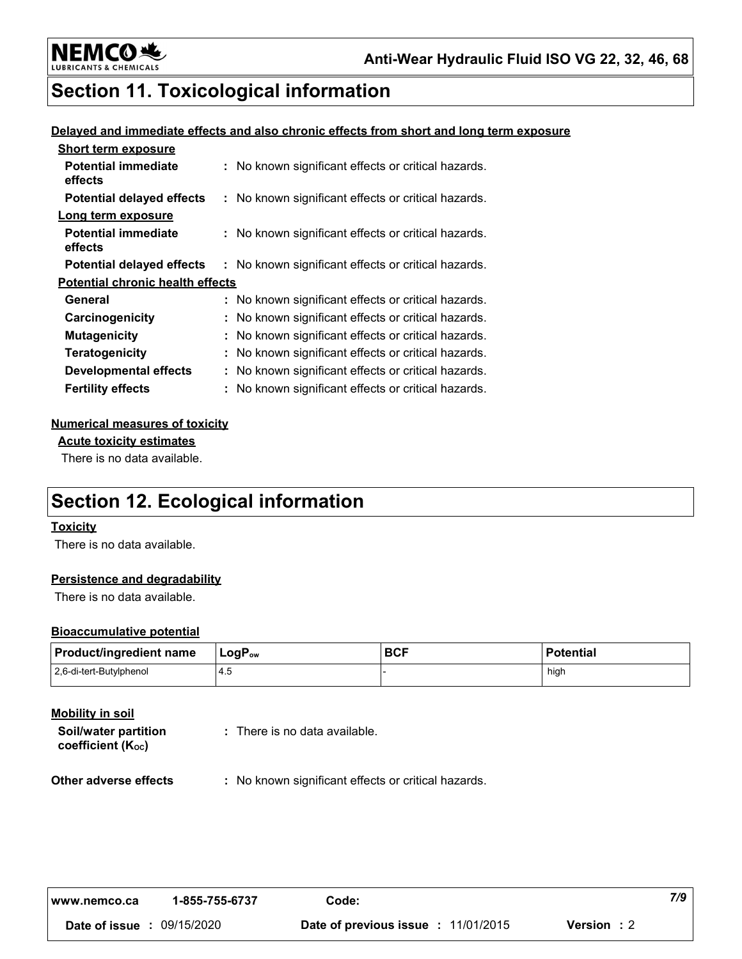

# **Section 11. Toxicological information**

#### Delayed and immediate effects and also chronic effects from short and long term exposure

| <b>Short term exposure</b>              |                                                     |
|-----------------------------------------|-----------------------------------------------------|
| <b>Potential immediate</b><br>effects   | : No known significant effects or critical hazards. |
| <b>Potential delayed effects</b>        | : No known significant effects or critical hazards. |
| Long term exposure                      |                                                     |
| <b>Potential immediate</b><br>effects   | : No known significant effects or critical hazards. |
| <b>Potential delayed effects</b>        | : No known significant effects or critical hazards. |
| <b>Potential chronic health effects</b> |                                                     |
| General                                 | : No known significant effects or critical hazards. |
| Carcinogenicity                         | : No known significant effects or critical hazards. |
| <b>Mutagenicity</b>                     | : No known significant effects or critical hazards. |
| <b>Teratogenicity</b>                   | : No known significant effects or critical hazards. |
| <b>Developmental effects</b>            | : No known significant effects or critical hazards. |
| <b>Fertility effects</b>                | : No known significant effects or critical hazards. |

#### **Numerical measures of toxicity**

**Acute toxicity estimates** 

There is no data available.

# **Section 12. Ecological information**

#### **Toxicity**

There is no data available.

#### Persistence and degradability

There is no data available.

#### **Bioaccumulative potential**

| Product/ingredient name | ∣ LoqP <sub>∾v</sub> | <b>BCF</b> | <b>Potential</b> |
|-------------------------|----------------------|------------|------------------|
| 2,6-di-tert-Butylphenol |                      |            | hiah             |

| Mobility in soil<br>Soil/water partition<br>coefficient $(K_{oc})$ | : There is no data available.                       |
|--------------------------------------------------------------------|-----------------------------------------------------|
| Other adverse effects                                              | : No known significant effects or critical hazards. |

| www.nemco.ca                      | 1-855-755-6737 | Code:                               |                    | 7/9 |
|-----------------------------------|----------------|-------------------------------------|--------------------|-----|
| <b>Date of issue : 09/15/2020</b> |                | Date of previous issue : 11/01/2015 | <b>Version</b> : 2 |     |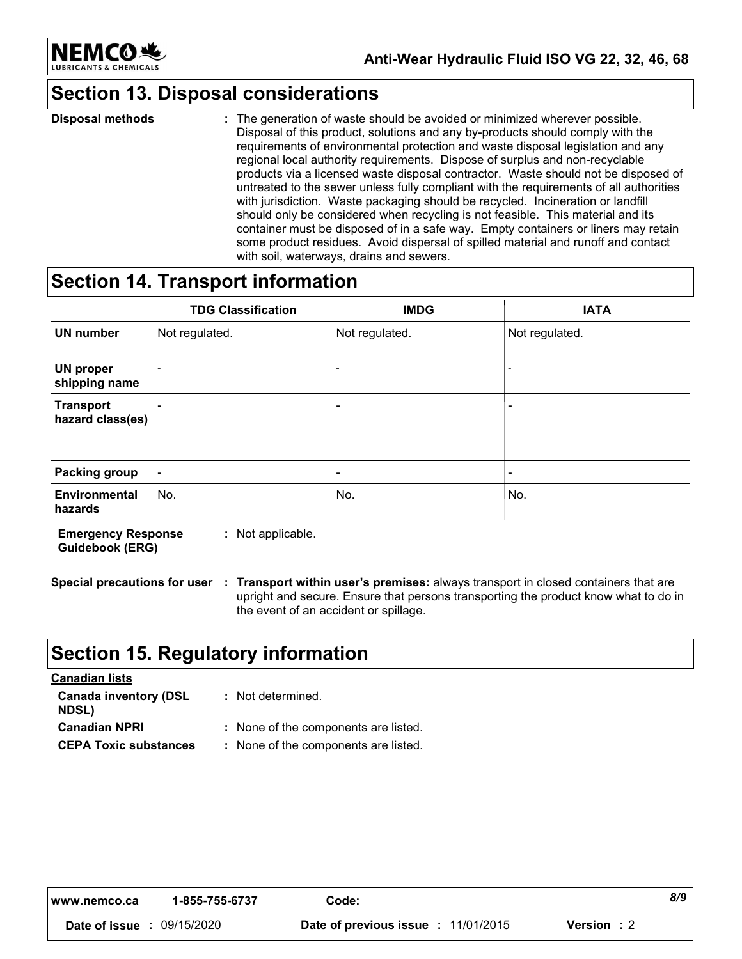

# **Section 13. Disposal considerations**

**Disposal methods** : The generation of waste should be avoided or minimized wherever possible. Disposal of this product, solutions and any by-products should comply with the requirements of environmental protection and waste disposal legislation and any regional local authority requirements. Dispose of surplus and non-recyclable products via a licensed waste disposal contractor. Waste should not be disposed of untreated to the sewer unless fully compliant with the requirements of all authorities with jurisdiction. Waste packaging should be recycled. Incineration or landfill should only be considered when recycling is not feasible. This material and its container must be disposed of in a safe way. Empty containers or liners may retain some product residues. Avoid dispersal of spilled material and runoff and contact with soil, waterways, drains and sewers.

### **Section 14. Transport information**

|                                      | <b>TDG Classification</b> | <b>IMDG</b>              | <b>IATA</b>              |
|--------------------------------------|---------------------------|--------------------------|--------------------------|
| <b>UN number</b>                     | Not regulated.            | Not regulated.           | Not regulated.           |
| <b>UN proper</b><br>shipping name    |                           | $\blacksquare$           | $\overline{\phantom{0}}$ |
| <b>Transport</b><br>hazard class(es) |                           | $\overline{\phantom{0}}$ |                          |
| Packing group                        | $\overline{\phantom{0}}$  | $\overline{\phantom{a}}$ | $\blacksquare$           |
| <b>Environmental</b><br>hazards      | No.                       | No.                      | No.                      |

**Emergency Response** : Not applicable. **Guidebook (ERG)** 

Special precautions for user : Transport within user's premises: always transport in closed containers that are upright and secure. Ensure that persons transporting the product know what to do in the event of an accident or spillage.

# **Section 15. Regulatory information**

| : Not determined.                    |
|--------------------------------------|
| : None of the components are listed. |
| : None of the components are listed. |
|                                      |

| www.nemco.ca                      | 1-855-755-6737 | Code:                               |                    | 8/9 |
|-----------------------------------|----------------|-------------------------------------|--------------------|-----|
| <b>Date of issue : 09/15/2020</b> |                | Date of previous issue : 11/01/2015 | <b>Version</b> : 2 |     |